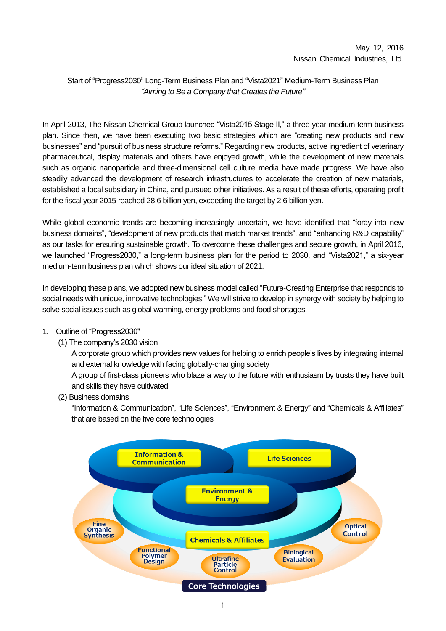## Start of "Progress2030" Long-Term Business Plan and "Vista2021" Medium-Term Business Plan *"Aiming to Be a Company that Creates the Future"*

In April 2013, The Nissan Chemical Group launched "Vista2015 Stage II," a three-year medium-term business plan. Since then, we have been executing two basic strategies which are "creating new products and new businesses" and "pursuit of business structure reforms." Regarding new products, active ingredient of veterinary pharmaceutical, display materials and others have enjoyed growth, while the development of new materials such as organic nanoparticle and three-dimensional cell culture media have made progress. We have also steadily advanced the development of research infrastructures to accelerate the creation of new materials, established a local subsidiary in China, and pursued other initiatives. As a result of these efforts, operating profit for the fiscal year 2015 reached 28.6 billion yen, exceeding the target by 2.6 billion yen.

While global economic trends are becoming increasingly uncertain, we have identified that "foray into new business domains", "development of new products that match market trends", and "enhancing R&D capability" as our tasks for ensuring sustainable growth. To overcome these challenges and secure growth, in April 2016, we launched "Progress2030," a long-term business plan for the period to 2030, and "Vista2021," a six-year medium-term business plan which shows our ideal situation of 2021.

In developing these plans, we adopted new business model called "Future-Creating Enterprise that responds to social needs with unique, innovative technologies." We will strive to develop in synergy with society by helping to solve social issues such as global warming, energy problems and food shortages.

### 1. Outline of "Progress2030"

(1) The company's 2030 vision

A corporate group which provides new values for helping to enrich people's lives by integrating internal and external knowledge with facing globally-changing society

A group of first-class pioneers who blaze a way to the future with enthusiasm by trusts they have built and skills they have cultivated

(2) Business domains

"Information & Communication", "Life Sciences", "Environment & Energy" and "Chemicals & Affiliates" that are based on the five core technologies

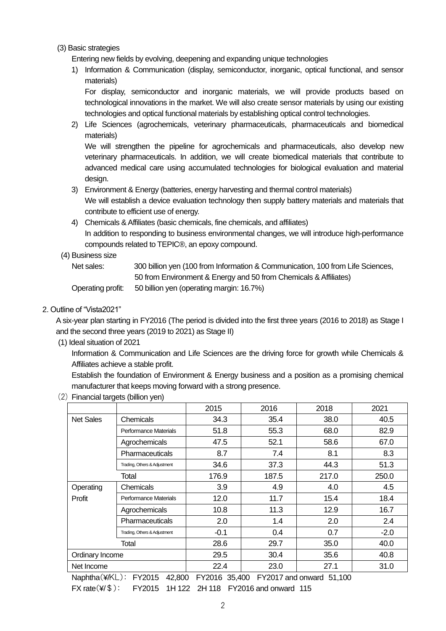#### (3) Basic strategies

Entering new fields by evolving, deepening and expanding unique technologies

1) Information & Communication (display, semiconductor, inorganic, optical functional, and sensor materials)

For display, semiconductor and inorganic materials, we will provide products based on technological innovations in the market. We will also create sensor materials by using our existing technologies and optical functional materials by establishing optical control technologies.

2) Life Sciences (agrochemicals, veterinary pharmaceuticals, pharmaceuticals and biomedical materials)

We will strengthen the pipeline for agrochemicals and pharmaceuticals, also develop new veterinary pharmaceuticals. In addition, we will create biomedical materials that contribute to advanced medical care using accumulated technologies for biological evaluation and material design.

- 3) Environment & Energy (batteries, energy harvesting and thermal control materials) We will establish a device evaluation technology then supply battery materials and materials that contribute to efficient use of energy.
- 4) Chemicals & Affiliates (basic chemicals, fine chemicals, and affiliates) In addition to responding to business environmental changes, we will introduce high-performance compounds related to TEPIC®, an epoxy compound.

#### (4) Business size

Net sales: 300 billion yen (100 from Information & Communication, 100 from Life Sciences, 50 from Environment & Energy and 50 from Chemicals & Affiliates) Operating profit: 50 billion yen (operating margin: 16.7%)

#### 2. Outline of "Vista2021"

A six-year plan starting in FY2016 (The period is divided into the first three years (2016 to 2018) as Stage I and the second three years (2019 to 2021) as Stage II)

(1) Ideal situation of 2021

Information & Communication and Life Sciences are the driving force for growth while Chemicals & Affiliates achieve a stable profit.

Establish the foundation of Environment & Energy business and a position as a promising chemical manufacturer that keeps moving forward with a strong presence.

2015 2016 2018 2021

|  |  | (2) Financial targets (billion yen) |  |
|--|--|-------------------------------------|--|
|--|--|-------------------------------------|--|

| <b>Net Sales</b> | Chemicals                    | 34.3   | 35.4  | 38.0  | 40.5   |
|------------------|------------------------------|--------|-------|-------|--------|
|                  | Performance Materials        | 51.8   | 55.3  | 68.0  | 82.9   |
|                  | Agrochemicals                | 47.5   | 52.1  | 58.6  | 67.0   |
|                  | <b>Pharmaceuticals</b>       | 8.7    | 7.4   | 8.1   | 8.3    |
|                  | Trading, Others & Adjustment | 34.6   | 37.3  | 44.3  | 51.3   |
| Total            |                              | 176.9  | 187.5 | 217.0 | 250.0  |
| Operating        | Chemicals                    | 3.9    | 4.9   | 4.0   | 4.5    |
| Profit           | Performance Materials        | 12.0   | 11.7  | 15.4  | 18.4   |
|                  | Agrochemicals                | 10.8   | 11.3  | 12.9  | 16.7   |
|                  | <b>Pharmaceuticals</b>       | 2.0    | 1.4   | 2.0   | 2.4    |
|                  | Trading, Others & Adjustment | $-0.1$ | 0.4   | 0.7   | $-2.0$ |
|                  | Total                        | 28.6   | 29.7  | 35.0  | 40.0   |
| Ordinary Income  |                              | 29.5   | 30.4  | 35.6  | 40.8   |
| Net Income       |                              | 22.4   | 23.0  | 27.1  | 31.0   |

Naphtha(¥/KL): FY2015 42,800 FY2016 35,400 FY2017 and onward 51,100 FX rate(¥/\$): FY2015 1H 122 2H 118 FY2016 and onward 115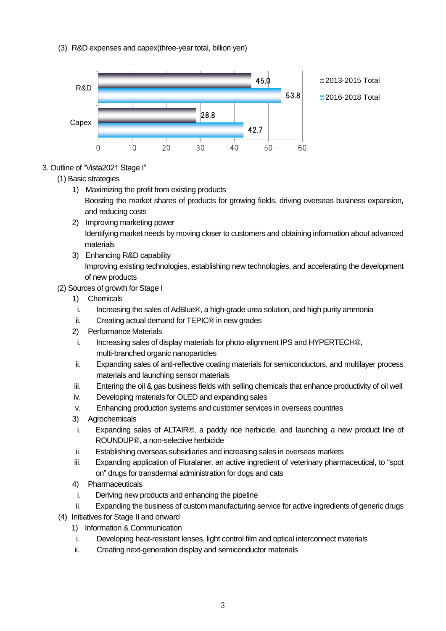(3) R&D expenses and capex(three-year total, billion yen)



# 3. Outline of "Vista2021 Stage I"

### (1) Basic strategies

- 1) Maximizing the profit from existing products Boosting the market shares of products for growing fields, driving overseas business expansion, and reducing costs
- 2) Improving marketing power Identifying market needs by moving closer to customers and obtaining information about advanced materials
- 3) Enhancing R&D capability Improving existing technologies, establishing new technologies, and accelerating the development of new products
- (2) Sources of growth for Stage I
	- 1) Chemicals
	- i. Increasing the sales of AdBlue®, a high-grade urea solution, and high purity ammonia
	- ii. Creating actual demand for TEPIC® in new grades
	- 2) Performance Materials
	- i. Increasing sales of display materials for photo-alignment IPS and HYPERTECH®, multi-branched organic nanoparticles
	- ii. Expanding sales of anti-reflective coating materials for semiconductors, and multilayer process materials and launching sensor materials
	- iii. Entering the oil & gas business fields with selling chemicals that enhance productivity of oil well
	- iv. Developing materials for OLED and expanding sales
	- v. Enhancing production systems and customer services in overseas countries
	- 3) Agrochemicals
	- i. Expanding sales of ALTAIR®, a paddy rice herbicide, and launching a new product line of ROUNDUP®, a non-selective herbicide
	- ii. Establishing overseas subsidiaries and increasing sales in overseas markets
	- iii. Expanding application of Fluralaner, an active ingredient of veterinary pharmaceutical, to "spot on" drugs for transdermal administration for dogs and cats
	- 4) Pharmaceuticals
	- i. Deriving new products and enhancing the pipeline
	- ii. Expanding the business of custom manufacturing service for active ingredients of generic drugs
- (4) Initiatives for Stage II and onward
	- 1) Information & Communication
	- i. Developing heat-resistant lenses, light control film and optical interconnect materials
	- ii. Creating next-generation display and semiconductor materials